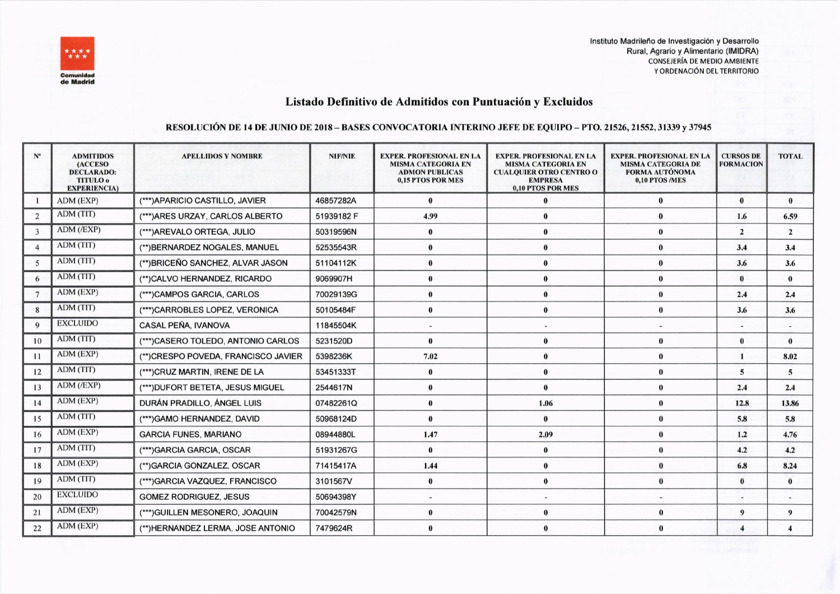

Instituto Madrileño de Investigación y Desarrollo Rural, Agrario y Alimentario (IMIDRA) **CONSEJERÍA DE MEDIO AMBIENTE** Y ORDENACIÓN DEL TERRITORIO

## Listado Definitivo de Admitidos con Puntuación y Excluidos

## RESOLUCIÓN DE 14 DE JUNIO DE 2018 – BASES CONVOCATORIA INTERINO JEFE DE EQUIPO – PTO. 21526, 21552, 31339 y 37945

| $N^{\rm o}$     | <b>ADMITIDOS</b><br><b>(ACCESO)</b><br><b>DECLARADO:</b><br><b>TITULO</b> <sub>0</sub><br><b>EXPERIENCIA)</b> | <b>APELLIDOS Y NOMBRE</b>           | <b>NIF/NIE</b> | <b>EXPER. PROFESIONAL EN LA</b><br><b>MISMA CATEGORIA EN</b><br><b>ADMON PUBLICAS</b><br>0.15 PTOS POR MES | <b>EXPER. PROFESIONAL EN LA</b><br><b>MISMA CATEGORIA EN</b><br><b>CUALQUIER OTRO CENTRO O</b><br><b>EMPRESA</b><br>0,10 PTOS POR MES | <b>EXPER. PROFESIONAL EN LA</b><br><b>MISMA CATEGORIA DE</b><br><b>FORMA AUTÓNOMA</b><br>0,10 PTOS/MES | <b>CURSOS DE</b><br><b>FORMACION</b> | <b>TOTAL</b>   |
|-----------------|---------------------------------------------------------------------------------------------------------------|-------------------------------------|----------------|------------------------------------------------------------------------------------------------------------|---------------------------------------------------------------------------------------------------------------------------------------|--------------------------------------------------------------------------------------------------------|--------------------------------------|----------------|
|                 | ADM (EXP)                                                                                                     | (***) APARICIO CASTILLO, JAVIER     | 46857282A      | $\mathbf{0}$                                                                                               |                                                                                                                                       | $\bf{0}$                                                                                               | $\bf{0}$                             | $\mathbf{0}$   |
| 2               | ADM (TIT)                                                                                                     | (***)ARES URZAY, CARLOS ALBERTO     | 51939182 F     | 4.99                                                                                                       | $\bf{0}$                                                                                                                              | $\bf{0}$                                                                                               | 1.6                                  | 6.59           |
| 3               | ADM (/EXP)                                                                                                    | (***)AREVALO ORTEGA, JULIO          | 50319596N      | $\bf{0}$                                                                                                   | $\Omega$                                                                                                                              | $\bf{0}$                                                                                               | $\overline{2}$                       | $\overline{2}$ |
| $\overline{4}$  | ADM (TIT)                                                                                                     | (**) BERNARDEZ NOGALES, MANUEL      | 52535543R      | $\bf{0}$                                                                                                   | $\bf{0}$                                                                                                                              | $\bf{0}$                                                                                               | 3.4                                  | 3.4            |
| 5               | ADM (TIT)                                                                                                     | (**) BRICEÑO SANCHEZ, ALVAR JASON   | 51104112K      | $\bf{0}$                                                                                                   | $\bf{0}$                                                                                                                              | $\bf{0}$                                                                                               | 3.6                                  | 3.6            |
| 6               | ADM (TIT)                                                                                                     | (**)CALVO HERNANDEZ, RICARDO        | 9069907H       | $\bf{0}$                                                                                                   | $\bf{0}$                                                                                                                              | $\bf{0}$                                                                                               | $\bf{0}$                             | $\bf{0}$       |
| $7\phantom{.0}$ | ADM (EXP)                                                                                                     | (***)CAMPOS GARCIA, CARLOS          | 70029139G      | $\bf{0}$                                                                                                   | $\bf{0}$                                                                                                                              | $\bf{0}$                                                                                               | 2.4                                  | 2.4            |
| 8               | ADM (TIT)                                                                                                     | (***)CARROBLES LOPEZ, VERONICA      | 50105484F      | $\bf{0}$                                                                                                   | $\bf{0}$                                                                                                                              | $\bf{0}$                                                                                               | 3.6                                  | 3.6            |
| $\mathbf Q$     | <b>EXCLUIDO</b>                                                                                               | <b>CASAL PEÑA, IVANOVA</b>          | 11845504K      |                                                                                                            |                                                                                                                                       |                                                                                                        |                                      |                |
| 10              | ADM (TIT)                                                                                                     | (***)CASERO TOLEDO, ANTONIO CARLOS  | 5231520D       | $\theta$                                                                                                   | $\bf{0}$                                                                                                                              | $\bf{0}$                                                                                               | $\bf{0}$                             | $\theta$       |
| 11              | ADM (EXP)                                                                                                     | (**)CRESPO POVEDA, FRANCISCO JAVIER | 5398236K       | 7.02                                                                                                       | $\theta$                                                                                                                              | $\mathbf{0}$                                                                                           | $\mathbf{1}$                         | 8.02           |
| 12              | ADM (TIT)                                                                                                     | (***)CRUZ MARTIN, IRENE DE LA       | 53451333T      | $\bf{0}$                                                                                                   | $\Omega$                                                                                                                              | $\bf{0}$                                                                                               | $\overline{5}$                       | $\overline{5}$ |
| 13              | $ADM$ ( $/EXP$ )                                                                                              | (***) DUFORT BETETA, JESUS MIGUEL   | 2544617N       | $\bf{0}$                                                                                                   | $\Omega$                                                                                                                              | $\bf{0}$                                                                                               | 2.4                                  | 2.4            |
| 14              | ADM (EXP)                                                                                                     | DURÁN PRADILLO, ÁNGEL LUIS          | 07482261Q      | $\bf{0}$                                                                                                   | 1.06                                                                                                                                  | $\bf{0}$                                                                                               | 12.8                                 | 13.86          |
| 15              | ADM (TIT)                                                                                                     | (***)GAMO HERNANDEZ, DAVID          | 50968124D      | $\bf{0}$                                                                                                   | $\theta$                                                                                                                              | $\bf{0}$                                                                                               | 5.8                                  | 5.8            |
| 16              | ADM (EXP)                                                                                                     | <b>GARCIA FUNES, MARIANO</b>        | 08944880L      | 1.47                                                                                                       | 2.09                                                                                                                                  | $\bf{0}$                                                                                               | 1.2                                  | 4.76           |
| 17              | ADM (TIT)                                                                                                     | (***)GARCIA GARCIA, OSCAR           | 51931267G      | $\bf{0}$                                                                                                   | $\bf{0}$                                                                                                                              | $\bf{0}$                                                                                               | 4.2                                  | 4.2            |
| 18              | ADM (EXP)                                                                                                     | (**)GARCIA GONZALEZ, OSCAR          | 71415417A      | 1.44                                                                                                       | $\bf{0}$                                                                                                                              | $\bf{0}$                                                                                               | 6.8                                  | 8.24           |
| 19              | ADM (TIT)                                                                                                     | (***)GARCIA VAZQUEZ, FRANCISCO      | 3101567V       | $\bf{0}$                                                                                                   | $\bf{0}$                                                                                                                              | $\bf{0}$                                                                                               | $\bf{0}$                             | $\mathbf{0}$   |
| 20              | <b>EXCLUIDO</b>                                                                                               | <b>GOMEZ RODRIGUEZ, JESUS</b>       | 50694398Y      | $\overline{\phantom{a}}$                                                                                   | $\frac{1}{2}$                                                                                                                         | $\overline{\phantom{a}}$                                                                               | $\overline{\phantom{a}}$             |                |
| 21              | ADM (EXP)                                                                                                     | (***) GUILLEN MESONERO, JOAQUIN     | 70042579N      | $\bf{0}$                                                                                                   | $\bf{0}$                                                                                                                              | $\bf{0}$                                                                                               | 9                                    | 9              |
| 22              | ADM (EXP)                                                                                                     | (**)HERNANDEZ LERMA, JOSE ANTONIO   | 7479624R       | $\bf{0}$                                                                                                   | $\bf{0}$                                                                                                                              | $\bf{0}$                                                                                               | $\overline{\mathbf{4}}$              |                |